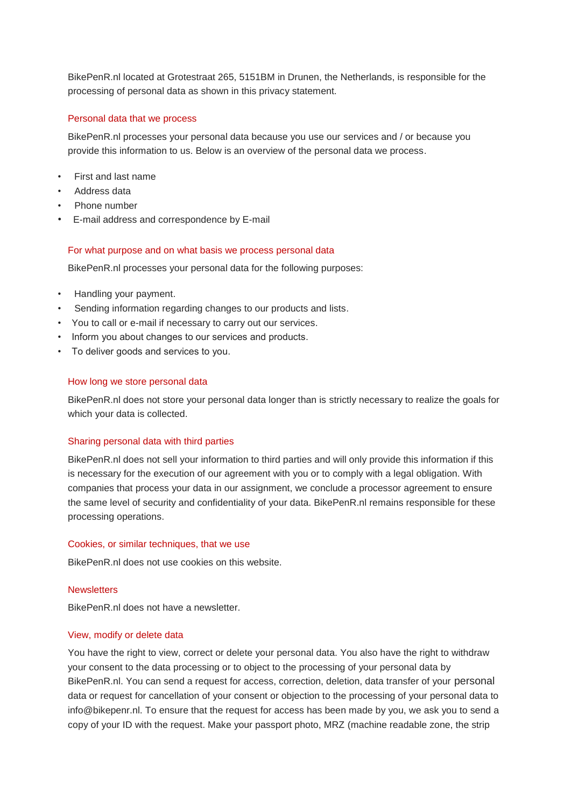BikePenR.nl located at Grotestraat 265, 5151BM in Drunen, the Netherlands, is responsible for the processing of personal data as shown in this privacy statement.

## Personal data that we process

BikePenR.nl processes your personal data because you use our services and / or because you provide this information to us. Below is an overview of the personal data we process.

- First and last name
- Address data
- Phone number
- E-mail address and correspondence by E-mail

## For what purpose and on what basis we process personal data

BikePenR.nl processes your personal data for the following purposes:

- Handling your payment.
- Sending information regarding changes to our products and lists.
- You to call or e-mail if necessary to carry out our services.
- Inform you about changes to our services and products.
- To deliver goods and services to you.

# How long we store personal data

BikePenR.nl does not store your personal data longer than is strictly necessary to realize the goals for which your data is collected.

## Sharing personal data with third parties

BikePenR.nl does not sell your information to third parties and will only provide this information if this is necessary for the execution of our agreement with you or to comply with a legal obligation. With companies that process your data in our assignment, we conclude a processor agreement to ensure the same level of security and confidentiality of your data. BikePenR.nl remains responsible for these processing operations.

## Cookies, or similar techniques, that we use

BikePenR.nl does not use cookies on this website.

## **Newsletters**

BikePenR.nl does not have a newsletter.

## View, modify or delete data

You have the right to view, correct or delete your personal data. You also have the right to withdraw your consent to the data processing or to object to the processing of your personal data by BikePenR.nl. You can send a request for access, correction, deletion, data transfer of your personal data or request for cancellation of your consent or objection to the processing of your personal data to info@bikepenr.nl. To ensure that the request for access has been made by you, we ask you to send a copy of your ID with the request. Make your passport photo, MRZ (machine readable zone, the strip